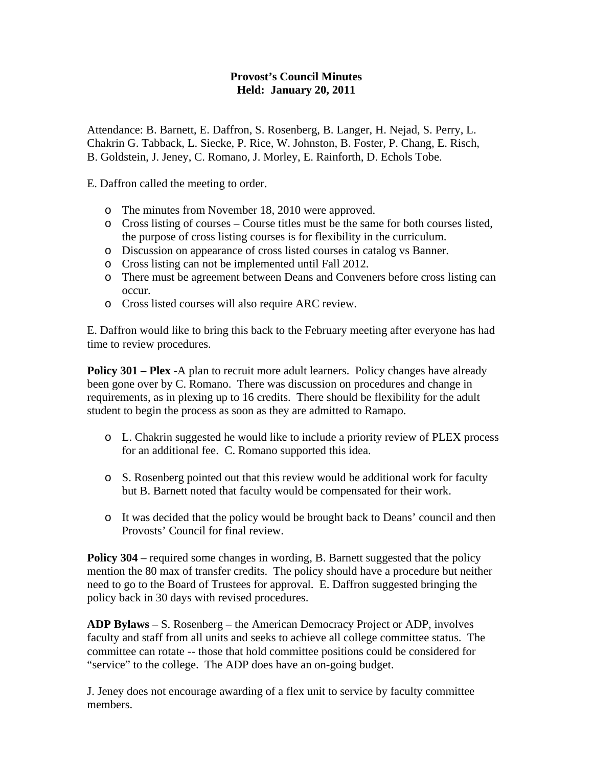## **Provost's Council Minutes Held: January 20, 2011**

Attendance: B. Barnett, E. Daffron, S. Rosenberg, B. Langer, H. Nejad, S. Perry, L. Chakrin G. Tabback, L. Siecke, P. Rice, W. Johnston, B. Foster, P. Chang, E. Risch, B. Goldstein, J. Jeney, C. Romano, J. Morley, E. Rainforth, D. Echols Tobe.

E. Daffron called the meeting to order.

- o The minutes from November 18, 2010 were approved.
- o Cross listing of courses Course titles must be the same for both courses listed, the purpose of cross listing courses is for flexibility in the curriculum.
- o Discussion on appearance of cross listed courses in catalog vs Banner.
- o Cross listing can not be implemented until Fall 2012.
- o There must be agreement between Deans and Conveners before cross listing can occur.
- o Cross listed courses will also require ARC review.

E. Daffron would like to bring this back to the February meeting after everyone has had time to review procedures.

**Policy 301 – Plex** -A plan to recruit more adult learners. Policy changes have already been gone over by C. Romano. There was discussion on procedures and change in requirements, as in plexing up to 16 credits. There should be flexibility for the adult student to begin the process as soon as they are admitted to Ramapo.

- o L. Chakrin suggested he would like to include a priority review of PLEX process for an additional fee. C. Romano supported this idea.
- o S. Rosenberg pointed out that this review would be additional work for faculty but B. Barnett noted that faculty would be compensated for their work.
- o It was decided that the policy would be brought back to Deans' council and then Provosts' Council for final review.

**Policy 304** – required some changes in wording, B. Barnett suggested that the policy mention the 80 max of transfer credits. The policy should have a procedure but neither need to go to the Board of Trustees for approval. E. Daffron suggested bringing the policy back in 30 days with revised procedures.

**ADP Bylaws** – S. Rosenberg – the American Democracy Project or ADP, involves faculty and staff from all units and seeks to achieve all college committee status. The committee can rotate -- those that hold committee positions could be considered for "service" to the college. The ADP does have an on-going budget.

J. Jeney does not encourage awarding of a flex unit to service by faculty committee members.